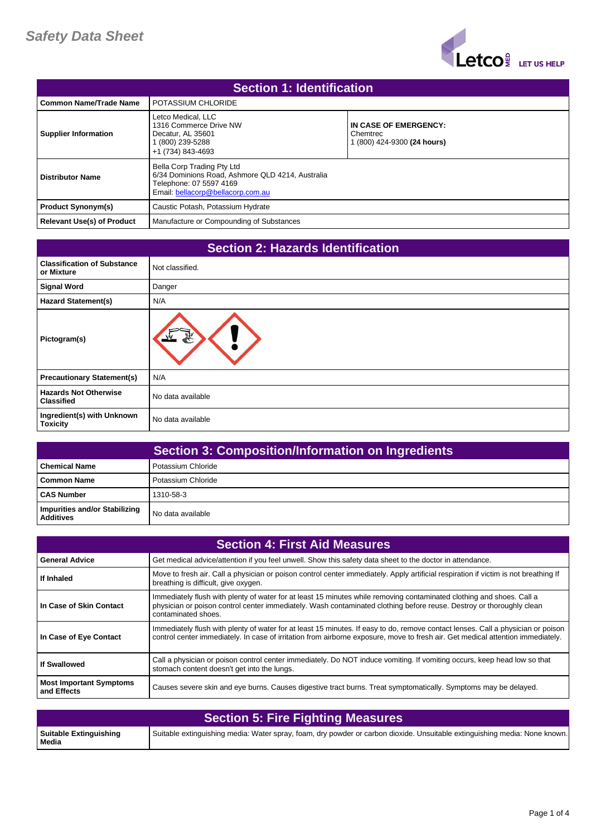

| <b>Section 1: Identification</b>  |                                                                                                                                                |                                                                |
|-----------------------------------|------------------------------------------------------------------------------------------------------------------------------------------------|----------------------------------------------------------------|
| <b>Common Name/Trade Name</b>     | POTASSIUM CHLORIDE                                                                                                                             |                                                                |
| <b>Supplier Information</b>       | Letco Medical, LLC<br>1316 Commerce Drive NW<br>Decatur, AL 35601<br>(800) 239-5288<br>+1 (734) 843-4693                                       | IN CASE OF EMERGENCY:<br>Chemtrec<br>(800) 424-9300 (24 hours) |
| <b>Distributor Name</b>           | Bella Corp Trading Pty Ltd<br>6/34 Dominions Road, Ashmore QLD 4214, Australia<br>Telephone: 07 5597 4169<br>Email: bellacorp@bellacorp.com.au |                                                                |
| <b>Product Synonym(s)</b>         | Caustic Potash, Potassium Hydrate                                                                                                              |                                                                |
| <b>Relevant Use(s) of Product</b> | Manufacture or Compounding of Substances                                                                                                       |                                                                |

| <b>Section 2: Hazards Identification</b>          |                   |
|---------------------------------------------------|-------------------|
| <b>Classification of Substance</b><br>or Mixture  | Not classified.   |
| <b>Signal Word</b>                                | Danger            |
| <b>Hazard Statement(s)</b>                        | N/A               |
| Pictogram(s)                                      |                   |
| <b>Precautionary Statement(s)</b>                 | N/A               |
| <b>Hazards Not Otherwise</b><br><b>Classified</b> | No data available |
| Ingredient(s) with Unknown<br><b>Toxicity</b>     | No data available |

|                                                   | <b>Section 3: Composition/Information on Ingredients</b> |
|---------------------------------------------------|----------------------------------------------------------|
| l Chemical Name                                   | Potassium Chloride                                       |
| I Common Name                                     | Potassium Chloride                                       |
| <b>CAS Number</b>                                 | 1310-58-3                                                |
| Impurities and/or Stabilizing<br><b>Additives</b> | No data available                                        |

| <b>Section 4: First Aid Measures</b>          |                                                                                                                                                                                                                                                                      |
|-----------------------------------------------|----------------------------------------------------------------------------------------------------------------------------------------------------------------------------------------------------------------------------------------------------------------------|
| <b>General Advice</b>                         | Get medical advice/attention if you feel unwell. Show this safety data sheet to the doctor in attendance.                                                                                                                                                            |
| If Inhaled                                    | Move to fresh air. Call a physician or poison control center immediately. Apply artificial respiration if victim is not breathing If<br>breathing is difficult, give oxygen.                                                                                         |
| In Case of Skin Contact                       | Immediately flush with plenty of water for at least 15 minutes while removing contaminated clothing and shoes. Call a<br>physician or poison control center immediately. Wash contaminated clothing before reuse. Destroy or thoroughly clean<br>contaminated shoes. |
| In Case of Eye Contact                        | Immediately flush with plenty of water for at least 15 minutes. If easy to do, remove contact lenses. Call a physician or poison<br>control center immediately. In case of irritation from airborne exposure, move to fresh air. Get medical attention immediately.  |
| <b>If Swallowed</b>                           | Call a physician or poison control center immediately. Do NOT induce vomiting. If vomiting occurs, keep head low so that<br>stomach content doesn't get into the lungs.                                                                                              |
| <b>Most Important Symptoms</b><br>and Effects | Causes severe skin and eye burns. Causes digestive tract burns. Treat symptomatically. Symptoms may be delayed.                                                                                                                                                      |

| Section 5: Fire Fighting Measures |                                                                                                                            |
|-----------------------------------|----------------------------------------------------------------------------------------------------------------------------|
| Suitable Extinguishing<br>Media   | Suitable extinguishing media: Water spray, foam, dry powder or carbon dioxide. Unsuitable extinguishing media: None known. |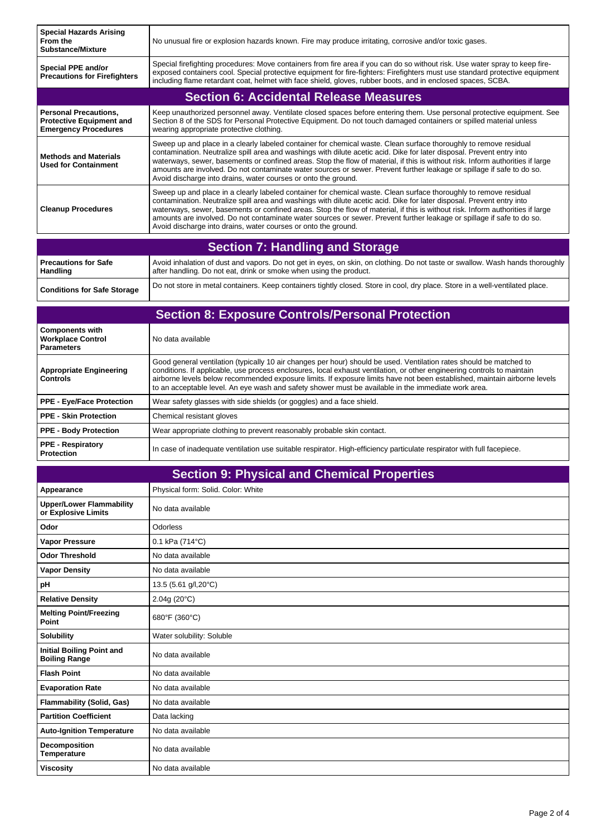| <b>Special Hazards Arising</b><br>From the<br><b>Substance/Mixture</b>                         | No unusual fire or explosion hazards known. Fire may produce irritating, corrosive and/or toxic gases.                                                                                                                                                                                                                                                                                                                                                                                                                                                                    |  |
|------------------------------------------------------------------------------------------------|---------------------------------------------------------------------------------------------------------------------------------------------------------------------------------------------------------------------------------------------------------------------------------------------------------------------------------------------------------------------------------------------------------------------------------------------------------------------------------------------------------------------------------------------------------------------------|--|
| Special PPE and/or<br><b>Precautions for Firefighters</b>                                      | Special firefighting procedures: Move containers from fire area if you can do so without risk. Use water spray to keep fire-<br>exposed containers cool. Special protective equipment for fire-fighters: Firefighters must use standard protective equipment<br>including flame retardant coat, helmet with face shield, gloves, rubber boots, and in enclosed spaces, SCBA.                                                                                                                                                                                              |  |
| <b>Section 6: Accidental Release Measures</b>                                                  |                                                                                                                                                                                                                                                                                                                                                                                                                                                                                                                                                                           |  |
| <b>Personal Precautions,</b><br><b>Protective Equipment and</b><br><b>Emergency Procedures</b> | Keep unauthorized personnel away. Ventilate closed spaces before entering them. Use personal protective equipment. See<br>Section 8 of the SDS for Personal Protective Equipment. Do not touch damaged containers or spilled material unless<br>wearing appropriate protective clothing.                                                                                                                                                                                                                                                                                  |  |
| <b>Methods and Materials</b><br><b>Used for Containment</b>                                    | Sweep up and place in a clearly labeled container for chemical waste. Clean surface thoroughly to remove residual<br>contamination. Neutralize spill area and washings with dilute acetic acid. Dike for later disposal. Prevent entry into<br>waterways, sewer, basements or confined areas. Stop the flow of material, if this is without risk. Inform authorities if large<br>amounts are involved. Do not contaminate water sources or sewer. Prevent further leakage or spillage if safe to do so.<br>Avoid discharge into drains, water courses or onto the ground. |  |
| <b>Cleanup Procedures</b>                                                                      | Sweep up and place in a clearly labeled container for chemical waste. Clean surface thoroughly to remove residual<br>contamination. Neutralize spill area and washings with dilute acetic acid. Dike for later disposal. Prevent entry into<br>waterways, sewer, basements or confined areas. Stop the flow of material, if this is without risk. Inform authorities if large<br>amounts are involved. Do not contaminate water sources or sewer. Prevent further leakage or spillage if safe to do so.<br>Avoid discharge into drains, water courses or onto the ground. |  |
| <b>Section 7: Handling and Storage</b>                                                         |                                                                                                                                                                                                                                                                                                                                                                                                                                                                                                                                                                           |  |

| l Precautions for Safe             | Avoid inhalation of dust and vapors. Do not get in eyes, on skin, on clothing. Do not taste or swallow. Wash hands thoroughly |
|------------------------------------|-------------------------------------------------------------------------------------------------------------------------------|
| Handling                           | after handling. Do not eat, drink or smoke when using the product.                                                            |
| <b>Conditions for Safe Storage</b> | Do not store in metal containers. Keep containers tightly closed. Store in cool, dry place. Store in a well-ventilated place. |

## **Section 8: Exposure Controls/Personal Protection**

| <b>Components with</b><br><b>Workplace Control</b><br><b>Parameters</b> | No data available                                                                                                                                                                                                                                                                                                                                                                                                                                                                  |
|-------------------------------------------------------------------------|------------------------------------------------------------------------------------------------------------------------------------------------------------------------------------------------------------------------------------------------------------------------------------------------------------------------------------------------------------------------------------------------------------------------------------------------------------------------------------|
| <b>Appropriate Engineering</b><br><b>Controls</b>                       | Good general ventilation (typically 10 air changes per hour) should be used. Ventilation rates should be matched to<br>conditions. If applicable, use process enclosures, local exhaust ventilation, or other engineering controls to maintain<br>airborne levels below recommended exposure limits. If exposure limits have not been established, maintain airborne levels<br>to an acceptable level. An eye wash and safety shower must be available in the immediate work area. |
| <b>PPE - Eye/Face Protection</b>                                        | Wear safety glasses with side shields (or goggles) and a face shield.                                                                                                                                                                                                                                                                                                                                                                                                              |
| PPE - Skin Protection                                                   | Chemical resistant gloves                                                                                                                                                                                                                                                                                                                                                                                                                                                          |
| <b>PPE - Body Protection</b>                                            | Wear appropriate clothing to prevent reasonably probable skin contact.                                                                                                                                                                                                                                                                                                                                                                                                             |
| <b>PPE - Respiratory</b><br><b>Protection</b>                           | In case of inadequate ventilation use suitable respirator. High-efficiency particulate respirator with full facepiece.                                                                                                                                                                                                                                                                                                                                                             |

| <b>Section 9: Physical and Chemical Properties</b>       |                                    |
|----------------------------------------------------------|------------------------------------|
| Appearance                                               | Physical form: Solid. Color: White |
| <b>Upper/Lower Flammability</b><br>or Explosive Limits   | No data available                  |
| Odor                                                     | Odorless                           |
| Vapor Pressure                                           | 0.1 kPa (714°C)                    |
| <b>Odor Threshold</b>                                    | No data available                  |
| <b>Vapor Density</b>                                     | No data available                  |
| рH                                                       | 13.5 (5.61 g/l, 20°C)              |
| <b>Relative Density</b>                                  | 2.04g(20°C)                        |
| <b>Melting Point/Freezing</b><br>Point                   | 680°F (360°C)                      |
| <b>Solubility</b>                                        | Water solubility: Soluble          |
| <b>Initial Boiling Point and</b><br><b>Boiling Range</b> | No data available                  |
| <b>Flash Point</b>                                       | No data available                  |
| <b>Evaporation Rate</b>                                  | No data available                  |
| <b>Flammability (Solid, Gas)</b>                         | No data available                  |
| <b>Partition Coefficient</b>                             | Data lacking                       |
| <b>Auto-Ignition Temperature</b>                         | No data available                  |
| Decomposition<br><b>Temperature</b>                      | No data available                  |
| <b>Viscosity</b>                                         | No data available                  |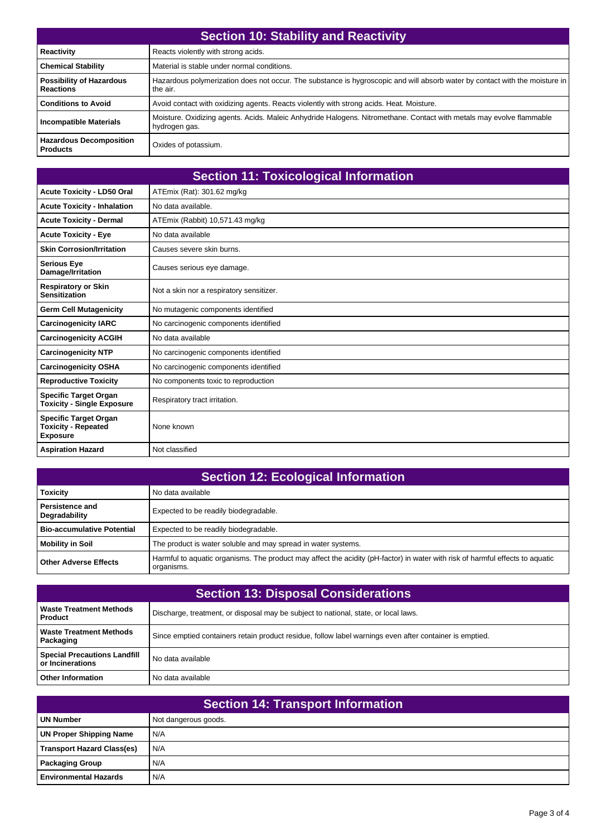| <b>Section 10: Stability and Reactivity</b>         |                                                                                                                                         |
|-----------------------------------------------------|-----------------------------------------------------------------------------------------------------------------------------------------|
| Reactivity                                          | Reacts violently with strong acids.                                                                                                     |
| <b>Chemical Stability</b>                           | Material is stable under normal conditions.                                                                                             |
| <b>Possibility of Hazardous</b><br><b>Reactions</b> | Hazardous polymerization does not occur. The substance is hygroscopic and will absorb water by contact with the moisture in<br>the air. |
| <b>Conditions to Avoid</b>                          | Avoid contact with oxidizing agents. Reacts violently with strong acids. Heat. Moisture.                                                |
| <b>Incompatible Materials</b>                       | Moisture. Oxidizing agents. Acids. Maleic Anhydride Halogens. Nitromethane. Contact with metals may evolve flammable<br>hydrogen gas.   |
| <b>Hazardous Decomposition</b><br><b>Products</b>   | Oxides of potassium.                                                                                                                    |

| <b>Section 11: Toxicological Information</b>                                  |                                          |
|-------------------------------------------------------------------------------|------------------------------------------|
| <b>Acute Toxicity - LD50 Oral</b>                                             | ATEmix (Rat): 301.62 mg/kg               |
| <b>Acute Toxicity - Inhalation</b>                                            | No data available.                       |
| <b>Acute Toxicity - Dermal</b>                                                | ATEmix (Rabbit) 10,571.43 mg/kg          |
| <b>Acute Toxicity - Eye</b>                                                   | No data available                        |
| <b>Skin Corrosion/Irritation</b>                                              | Causes severe skin burns.                |
| <b>Serious Eye</b><br>Damage/Irritation                                       | Causes serious eye damage.               |
| <b>Respiratory or Skin</b><br><b>Sensitization</b>                            | Not a skin nor a respiratory sensitizer. |
| <b>Germ Cell Mutagenicity</b>                                                 | No mutagenic components identified       |
| <b>Carcinogenicity IARC</b>                                                   | No carcinogenic components identified    |
| <b>Carcinogenicity ACGIH</b>                                                  | No data available                        |
| <b>Carcinogenicity NTP</b>                                                    | No carcinogenic components identified    |
| <b>Carcinogenicity OSHA</b>                                                   | No carcinogenic components identified    |
| <b>Reproductive Toxicity</b>                                                  | No components toxic to reproduction      |
| <b>Specific Target Organ</b><br><b>Toxicity - Single Exposure</b>             | Respiratory tract irritation.            |
| <b>Specific Target Organ</b><br><b>Toxicity - Repeated</b><br><b>Exposure</b> | None known                               |
| <b>Aspiration Hazard</b>                                                      | Not classified                           |

| <b>Section 12: Ecological Information</b> |                                                                                                                                             |
|-------------------------------------------|---------------------------------------------------------------------------------------------------------------------------------------------|
| <b>Toxicity</b>                           | No data available                                                                                                                           |
| Persistence and<br>Degradability          | Expected to be readily biodegradable.                                                                                                       |
| <b>Bio-accumulative Potential</b>         | Expected to be readily biodegradable.                                                                                                       |
| <b>Mobility in Soil</b>                   | The product is water soluble and may spread in water systems.                                                                               |
| <b>Other Adverse Effects</b>              | Harmful to aguatic organisms. The product may affect the acidity (pH-factor) in water with risk of harmful effects to aguatic<br>organisms. |

| <b>Section 13: Disposal Considerations</b>              |                                                                                                         |  |
|---------------------------------------------------------|---------------------------------------------------------------------------------------------------------|--|
| <b>Waste Treatment Methods</b><br><b>Product</b>        | Discharge, treatment, or disposal may be subject to national, state, or local laws.                     |  |
| <b>Waste Treatment Methods</b><br>Packaging             | Since emptied containers retain product residue, follow label warnings even after container is emptied. |  |
| <b>Special Precautions Landfill</b><br>or Incinerations | No data available                                                                                       |  |
| <b>Other Information</b>                                | No data available                                                                                       |  |

| <b>Section 14: Transport Information</b> |                      |  |
|------------------------------------------|----------------------|--|
| <b>UN Number</b>                         | Not dangerous goods. |  |
| <b>UN Proper Shipping Name</b>           | N/A                  |  |
| <b>Transport Hazard Class(es)</b>        | N/A                  |  |
| <b>Packaging Group</b>                   | N/A                  |  |
| l Environmental Hazards                  | N/A                  |  |